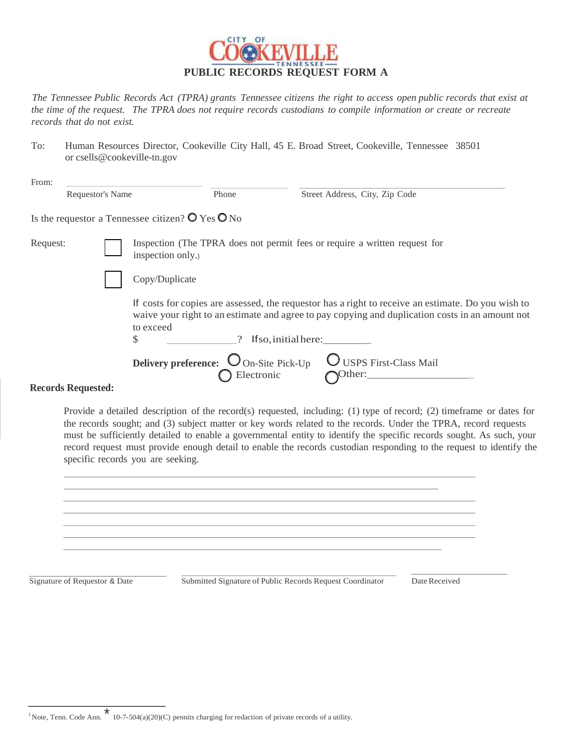

*The Tennessee Public Records Act (TPRA) grants Tennessee citizens the right to access open public records that exist at*  the time of the request. The TPRA does not require records custodians to compile information or create or recreate *records that do not exist.*

To: Human Resources Director, Cookeville City Hall, 45 E. Broad Street, Cookeville, Tennessee 38501 or csells@cookeville-tn.gov

| Phone                                                                                                                                                                                                                                            | Street Address, City, Zip Code                                                                                                                               |  |  |  |  |  |
|--------------------------------------------------------------------------------------------------------------------------------------------------------------------------------------------------------------------------------------------------|--------------------------------------------------------------------------------------------------------------------------------------------------------------|--|--|--|--|--|
|                                                                                                                                                                                                                                                  |                                                                                                                                                              |  |  |  |  |  |
| Inspection (The TPRA does not permit fees or require a written request for<br>inspection only.)                                                                                                                                                  |                                                                                                                                                              |  |  |  |  |  |
| Copy/Duplicate                                                                                                                                                                                                                                   |                                                                                                                                                              |  |  |  |  |  |
| If costs for copies are assessed, the requestor has a right to receive an estimate. Do you wish to<br>waive your right to an estimate and agree to pay copying and duplication costs in an amount not<br>to exceed<br>\$<br>If so, initial here: |                                                                                                                                                              |  |  |  |  |  |
|                                                                                                                                                                                                                                                  | USPS First-Class Mail<br>"Other:                                                                                                                             |  |  |  |  |  |
|                                                                                                                                                                                                                                                  | Requestor's Name<br>Is the requestor a Tennessee citizen? $\bullet$ Yes $\bullet$ No<br><b>Delivery preference:</b> $\bigcirc$ On-Site Pick-Up<br>Electronic |  |  |  |  |  |

Provide a detailed description of the record(s) requested, including: (1) type of record; (2) timeframe or dates for the records sought; and (3) subject matter or key words related to the records. Under the TPRA, record requests must be sufficiently detailed to enable a governmental entity to identify the specific records sought. As such, your record request must provide enough detail to enable the records custodian responding to the request to identify the specific records you are seeking.



Signature of Requestor & Date Submitted Signature of Public Records Request Coordinator Date Received